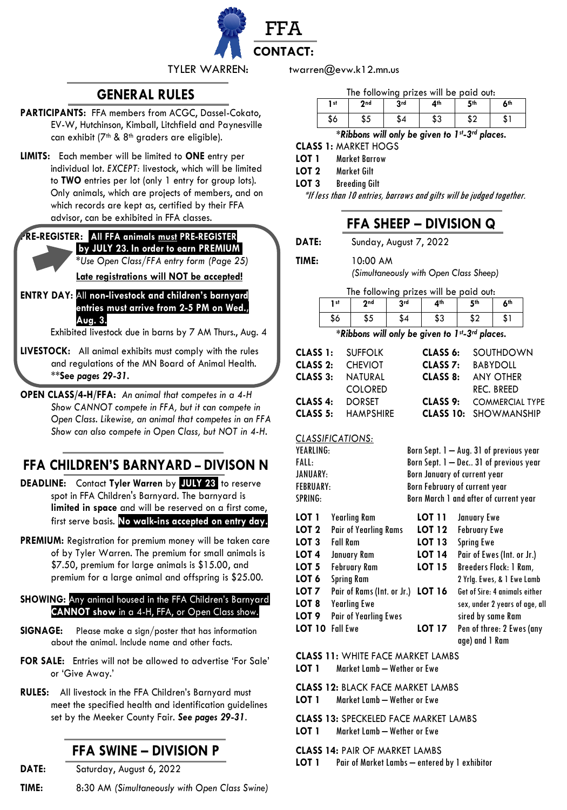

# **GENERAL RULES**

- **PARTICIPANTS:** FFA members from ACGC, Dassel-Cokato, EV-W, Hutchinson, Kimball, Litchfield and Paynesville can exhibit (7<sup>th</sup> & 8<sup>th</sup> graders are eligible).
- **LIMITS:** Each member will be limited to **ONE** entry per individual lot. *EXCEPT:* livestock, which will be limited to **TWO** entries per lot (only 1 entry for group lots). Only animals, which are projects of members, and on which records are kept as, certified by their FFA advisor, can be exhibited in FFA classes.

## **PRE-REGISTER:** .**All FFA animals must PRE-REGISTER .by JULY 23***.* **In order to earn PREMIUM.**

*\*Use Open Class/FFA entry form (Page 25)*

**Late registrations will NOT be accepted!**

**ENTRY DAY:** All **non-livestock and children's barnyard entries must arrive from 2-5 PM on Wed., Aug. 3.** 

Exhibited livestock due in barns by 7 AM Thurs., Aug. 4

- **LIVESTOCK:** All animal exhibits must comply with the rules and regulations of the MN Board of Animal Health. \*\***See** *pages 29-31.*
- **OPEN CLASS/4-H/FFA:** *An animal that competes in a 4-H Show CANNOT compete in FFA, but it can compete in Open Class. Likewise, an animal that competes in an FFA Show can also compete in Open Class, but NOT in 4-H.*

# **FFA CHILDREN'S BARNYARD – DIVISON N**

- **DEADLINE:** Contact **Tyler Warren** by *.***JULY 23.** to reserve spot in FFA Children's Barnyard. The barnyard is **limited in space** and will be reserved on a first come, first serve basis. **No walk-ins accepted on entry day.**
- **PREMIUM:** Registration for premium money will be taken care of by Tyler Warren. The premium for small animals is \$7.50, premium for large animals is \$15.00, and premium for a large animal and offspring is \$25.00.

### **SHOWING:** Any animal housed in the FFA Children's Barnyard **CANNOT show** in a 4-H, FFA, or Open Class show.

- **SIGNAGE:** Please make a sign/poster that has information about the animal. Include name and other facts.
- **FOR SALE:** Entries will not be allowed to advertise 'For Sale' or 'Give Away.'
- **RULES:** All livestock in the FFA Children's Barnyard must meet the specified health and identification guidelines set by the Meeker County Fair. *See pages 29-31*.

# **FFA SWINE – DIVISION P**

**DATE:** Saturday, August 6, 2022

**TIME:** 8:30 AM *(Simultaneously with Open Class Swine)*

TYLER WARREN: twarren@evw.k12.mn.us

The following prizes will be paid out:

| 1 st      | 2nd | 3rd | 4th       | 5th                                                              | 6 <sup>th</sup> |
|-----------|-----|-----|-----------|------------------------------------------------------------------|-----------------|
| \$6       | აა  | \$4 | ታ ኅ<br>აა | ሖ ^<br>ΩZ                                                        | ، ت             |
| $+$ n'i I | .,, |     |           | $\mathbf{r}$ $\mathbf{r}$ $\mathbf{r}$ $\mathbf{r}$ $\mathbf{r}$ |                 |

*\*Ribbons will only be given to 1st-3rd places.*

**CLASS 1:** MARKET HOGS

**LOT 1** Market Barrow **LOT 2** Market Gilt

**LOT 3** Breeding Gilt

\*If less than 10 entries, barrows and gilts will be judged together.

# **FFA SHEEP – DIVISION Q**

**DATE:** Sunday, August 7, 2022

**TIME:** 10:00 AM

*(Simultaneously with Open Class Sheep)*

| The following prizes will be paid out:         |     |     |     |     |     |  |
|------------------------------------------------|-----|-----|-----|-----|-----|--|
| 1 <sub>st</sub>                                | 2nd | 2rd | 4th | 5th | 6th |  |
| \$6                                            | \$5 | \$4 | \$3 | \$2 | \$1 |  |
| *Ribbons will only be given to 1st-3rd places. |     |     |     |     |     |  |

|          | <b>CLASS 1: SUFFOLK</b>   |          | <b>CLASS 6: SOUTHDOWN</b>       |
|----------|---------------------------|----------|---------------------------------|
|          | <b>CLASS 2: CHEVIOT</b>   |          | <b>CLASS 7: BABYDOLL</b>        |
|          | <b>CLASS 3: NATURAL</b>   | CLASS 8: | ANY OTHER                       |
|          | <b>COLORED</b>            |          | REC. BREED                      |
| CLASS 4: | <b>DORSET</b>             |          | <b>CLASS 9: COMMERCIAL TYPE</b> |
|          | <b>CLASS 5: HAMPSHIRE</b> |          | <b>CLASS 10: SHOWMANSHIP</b>    |
|          |                           |          |                                 |

### *CLASSIFICATIONS:*

| YEARLING:    |                                   | Born Sept. 1 — Aug. 31 of previous year |                                             |  |  |  |
|--------------|-----------------------------------|-----------------------------------------|---------------------------------------------|--|--|--|
| <b>FALL:</b> |                                   |                                         | Born Sept. 1 — Dec 31 of previous year      |  |  |  |
| JANUARY:     |                                   |                                         | Born January of current year                |  |  |  |
| FEBRUARY:    |                                   |                                         | Born February of current year               |  |  |  |
| SPRING:      |                                   | Born March 1 and after of current year  |                                             |  |  |  |
| LOT 1        | Yearling Ram                      | LOT 11                                  | January Ewe                                 |  |  |  |
| LOT 2        | <b>Pair of Yearling Rams</b>      | <b>LOT 12</b>                           | <b>February Ewe</b>                         |  |  |  |
| LOT 3        | <b>Fall Ram</b>                   | <b>LOT 13</b>                           | <b>Spring Ewe</b>                           |  |  |  |
| LOT 4        | January Ram                       | <b>LOT 14</b>                           | Pair of Ewes (Int. or Jr.)                  |  |  |  |
| LOT 5        | <b>February Ram</b>               | <b>LOT 15</b>                           | Breeders Flock: 1 Ram,                      |  |  |  |
| LOT 6        | <b>Spring Ram</b>                 |                                         | 2 Yrlg. Ewes, & 1 Ewe Lamb                  |  |  |  |
| LOT 7        | Pair of Rams (Int. or Jr.) LOT 16 |                                         | Get of Sire: 4 animals either               |  |  |  |
| LOT 8        | <b>Yearling Ewe</b>               |                                         | sex, under 2 years of age, all              |  |  |  |
| LOT 9        | Pair of Yearling Ewes             |                                         | sired by same Ram                           |  |  |  |
| LOT 10       | <b>Fall Ewe</b>                   | LOT 17                                  | Pen of three: 2 Ewes (any<br>age) and 1 Ram |  |  |  |
|              |                                   |                                         |                                             |  |  |  |

**CLASS 11:** WHITE FACE MARKET LAMBS

**LOT 1** Market Lamb – Wether or Ewe

**CLASS 12:** BLACK FACE MARKET LAMBS

**LOT 1** Market Lamb – Wether or Ewe

**CLASS 13:** SPECKELED FACE MARKET LAMBS

**LOT 1** Market Lamb – Wether or Ewe

**CLASS 14:** PAIR OF MARKET LAMBS

**LOT 1** Pair of Market Lambs – entered by 1 exhibitor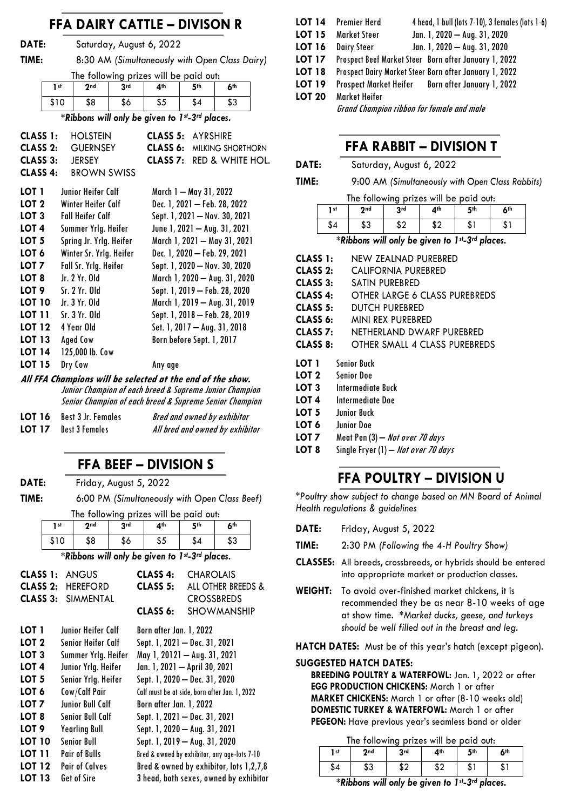# **FFA DAIRY CATTLE – DIVISON R**

**DATE:** Saturday, August 6, 2022

**TIME:** 8:30 AM *(Simultaneously with Open Class Dairy)*

The following prizes will be paid out:

| 1 <sub>st</sub>                                | 2nd | 3 <sub>rd</sub> | ⊿th | 5th | <b>Ath</b> |  |
|------------------------------------------------|-----|-----------------|-----|-----|------------|--|
| \$10                                           | \$8 | \$6             | \$5 | \$4 | \$3        |  |
| *Ribbons will only be given to 1st-3rd places. |     |                 |     |     |            |  |

| <b>HOLSTEIN</b><br><b>GUERNSEY</b><br>CLASS 2:<br>CLASS 3:<br><b>JERSEY</b><br><b>BROWN SWISS</b> | CLASS 5:<br><b>AYRSHIRE</b><br>CLASS 6:<br>MILKING SHORTHORN<br>CLASS <sub>7:</sub><br>RED & WHITE HOL. |
|---------------------------------------------------------------------------------------------------|---------------------------------------------------------------------------------------------------------|
| Junior Heifer Calf                                                                                | March 1 — May 31, 2022                                                                                  |
| Winter Heifer Calf                                                                                | Dec. 1, 2021 - Feb. 28, 2022                                                                            |
| <b>Fall Heifer Calf</b>                                                                           | Sept. 1, 2021 - Nov. 30, 2021                                                                           |
| Summer Yrlg. Heifer                                                                               | June 1, 2021 - Aug. 31, 2021                                                                            |
| Spring Jr. Yrlg. Heifer                                                                           | March 1, 2021 - May 31, 2021                                                                            |
| Winter Sr. Yrlg. Heifer                                                                           | Dec. 1, 2020 - Feb. 29, 2021                                                                            |
| Fall Sr. Yrlg. Heifer                                                                             | Sept. 1, 2020 - Nov. 30, 2020                                                                           |
| . Ir. 2 Yr. Old                                                                                   | March 1, 2020 — Aug. 31, 2020                                                                           |
| Sr. 2 Yr. Old                                                                                     | Sept. 1, 2019 - Feb. 28, 2020                                                                           |
| Ir.3Yr.0Id                                                                                        | March 1, 2019 - Aug. 31, 2019                                                                           |
| Sr. 3 Yr. Old                                                                                     | Sept. 1, 2018 - Feb. 28, 2019                                                                           |
| 4 Year Old                                                                                        | Set. 1, 2017 - Aug. 31, 2018                                                                            |
| <b>Aged Cow</b>                                                                                   | Born before Sept. 1, 2017                                                                               |
| 125,000 lb. Cow                                                                                   |                                                                                                         |
| Dry Cow                                                                                           | Any age                                                                                                 |
|                                                                                                   |                                                                                                         |

**All FFA Champions will be selected at the end of the show.** Junior Champion of each breed & Supreme Junior Champion Senior Champion of each breed & Supreme Senior Champion

| LOT 16        | <b>Best 3 Jr. Females</b> | Bred and owned by exhibitor     |
|---------------|---------------------------|---------------------------------|
| <b>LOT 17</b> | <b>Best 3 Females</b>     | All bred and owned by exhibitor |

## **FFA BEEF – DIVISION S**

**DATE:** Friday, August 5, 2022

**TIME:** 6:00 PM *(Simultaneously with Open Class Beef)*

| The following prizes will be paid out: |     |     |     |     |            |
|----------------------------------------|-----|-----|-----|-----|------------|
| 1 <sub>st</sub>                        | 2nd | 3rd | ⊿th | 5th | <b>Ath</b> |
| \$10                                   | \$8 | \$6 | \$5 | \$4 | \$3        |

*\*Ribbons will only be given to 1st-3rd places.*

| CLASS 1:            | <b>ANGUS</b>          | CLASS 4:                      | <b>CHAROLAIS</b>                              |
|---------------------|-----------------------|-------------------------------|-----------------------------------------------|
| CLASS <sub>2:</sub> | <b>HEREFORD</b>       | CLASS <sub>5:</sub>           | ALL OTHER BREEDS &                            |
| CLASS 3:            | <b>SIMMENTAL</b>      |                               | <b>CROSSBREDS</b>                             |
|                     |                       | CLASS 6:                      | <b>SHOWMANSHIP</b>                            |
| LOT 1               | Junior Heifer Calf    | Born after Jan. 1, 2022       |                                               |
| LOT <sub>2</sub>    | Senior Heifer Calf    |                               | Sept. 1, 2021 - Dec. 31, 2021                 |
| LOT <sub>3</sub>    | Summer Yrlg. Heifer   |                               | May 1, 20121 - Aug. 31, 2021                  |
| LOT <sub>4</sub>    | Junior Yrlg. Heifer   | Jan. 1, 2021 - April 30, 2021 |                                               |
| LOT <sub>5</sub>    | Senior Yrlg. Heifer   |                               | Sept. 1, 2020 - Dec. 31, 2020                 |
| LOT 6               | Cow/Calf Pair         |                               | Calf must be at side, born after Jan. 1, 2022 |
| LOT 7               | Junior Bull Calf      | Born after Jan. 1, 2022       |                                               |
| LOT 8               | Senior Bull Calf      |                               | Sept. 1, 2021 - Dec. 31, 2021                 |
| LOT <sub>9</sub>    | <b>Yearling Bull</b>  |                               | Sept. 1, 2020 - Aug. 31, 2021                 |
| <b>LOT 10</b>       | <b>Senior Bull</b>    |                               | Sept. 1, 2019 - Aug. 31, 2020                 |
| <b>LOT 11</b>       | <b>Pair of Bulls</b>  |                               | Bred & owned by exhibitor, any age-lots 7-10  |
| <b>LOT 12</b>       | <b>Pair of Calves</b> |                               | Bred & owned by exhibitor, lots 1,2,7,8       |
| LOT 13              | Get of Sire           |                               | 3 head, both sexes, owned by exhibitor        |

| LOT 14 | 4 head, 1 bull (lots 7-10), 3 females (lots 1-6)<br>Premier Herd |
|--------|------------------------------------------------------------------|
| LOT 15 | Jan. 1, 2020 - Aug. 31, 2020<br><b>Market Steer</b>              |
| LOT 16 | Jan. 1, 2020 - Aug. 31, 2020<br><b>Dairy Steer</b>               |
| LOT 17 | Prospect Beef Market Steer Born after January 1, 2022            |
| LOT 18 | Prospect Dairy Market Steer Born after January 1, 2022           |
| LOT 19 | Prospect Market Heifer Born after January 1, 2022                |
| LOT 20 | Market Heifer                                                    |
|        | .                                                                |

Grand Champion ribbon for female and male

## **FFA RABBIT – DIVISION T**

| DATE: | Saturday, August 6, 2022                         |
|-------|--------------------------------------------------|
| TIME: | 9:00 AM (Simultaneously with Open Class Rabbits) |

| The following prizes will be paid out: |  |  |  |  |
|----------------------------------------|--|--|--|--|
|----------------------------------------|--|--|--|--|

| 1 st | ንnd       | 2rd<br>J | ⊿th                   | 5th | 6 <sup>th</sup> |
|------|-----------|----------|-----------------------|-----|-----------------|
| λ4   | ሖ へ<br>აა | ሖ<br>∡ب  | $+ \circ$<br>⊿ ت<br>_ | ъD  | الت             |

*\*Ribbons will only be given to 1st-3rd places.*

| CLASS 1:             | NEW ZEALNAD PUREBRED            |
|----------------------|---------------------------------|
| CLASS <sub>2</sub> : | CALIFORNIA PUREBRED             |
| CLASS 3:             | SATIN PUREBRED                  |
| CLASS 4:             | OTHER LARGE 6 CLASS PUREBREDS   |
| CLASS 5:             | DUTCH PUREBRED                  |
| CLASS 6:             | MINI REX PUREBRED               |
| CLASS 7:             | NETHERLAND DWARF PUREBRED       |
| CLASS 8:             | OTHER SMALL 4 CLASS PUREBREDS   |
|                      |                                 |
| LOT 1                | <b>Senior Buck</b>              |
| LOT 2                | <b>Senior Doe</b>               |
| LOT 3                | Intermediate Buck               |
| LOT 4                | Intermediate Doe                |
| LOT 5                | <b>Junior Buck</b>              |
| LOT 6                | <b>Junior Doe</b>               |
| LOT <sub>7</sub>     | Meat Pen (3) - Not over 70 days |

# **FFA POULTRY – DIVISION U**

*\*Poultry show subject to change based on MN Board of Animal Health regulations & guidelines*

- **TIME:** 2:30 PM *(Following the 4-H Poultry Show)*
- **CLASSES:** All breeds, crossbreeds, or hybrids should be entered into appropriate market or production classes.
- **WEIGHT:** To avoid over-finished market chickens, it is recommended they be as near 8-10 weeks of age at show time. *\*Market ducks, geese, and turkeys should be well filled out in the breast and leg.*

**HATCH DATES:** Must be of this year's hatch (except pigeon).

#### **SUGGESTED HATCH DATES:**

**BREEDING POULTRY & WATERFOWL:** Jan. 1, 2022 or after **EGG PRODUCTION CHICKENS:** March 1 or after **MARKET CHICKENS:** March 1 or after (8-10 weeks old) **DOMESTIC TURKEY & WATERFOWL:** March 1 or after **PEGEON:** Have previous year's seamless band or older

The following prizes will be paid out:

| The Tonowing prizes will be paid oon. |     |         |     |     |     |  |
|---------------------------------------|-----|---------|-----|-----|-----|--|
| 1 st                                  | 2nd | 3rd     | 4th | 5th | 6th |  |
| \$4                                   | \$3 | ¢ባ<br>Œ | \$2 | \$1 | . ה |  |

*\*Ribbons will only be given to 1st-3rd places.*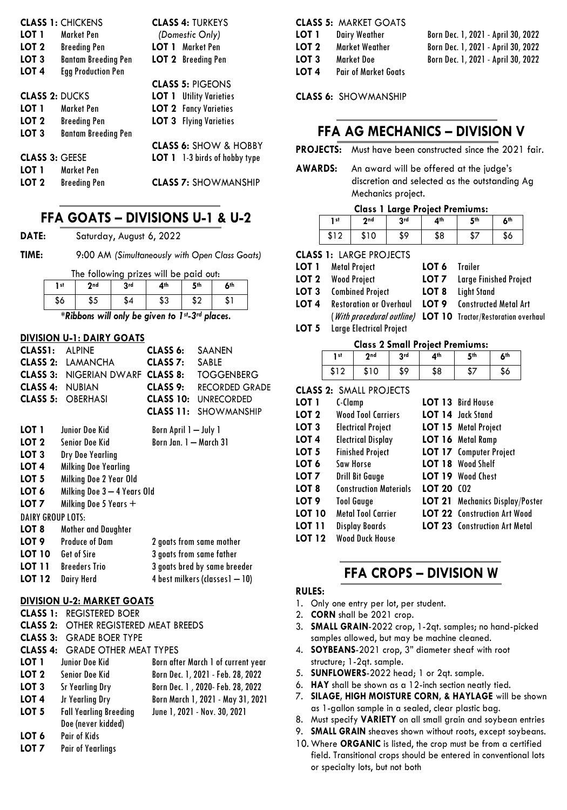|                       | <b>CLASS 1: CHICKENS</b>   |       | <b>CLASS 4: TURKEYS</b>          |
|-----------------------|----------------------------|-------|----------------------------------|
| LOT 1                 | Market Pen                 |       | (Domestic Only)                  |
| LOT <sub>2</sub>      | <b>Breeding Pen</b>        |       | <b>LOT 1</b> Market Pen          |
| LOT <sub>3</sub>      | <b>Bantam Breeding Pen</b> |       | <b>LOT 2</b> Breeding Pen        |
| LOT 4                 | <b>Egg Production Pen</b>  |       |                                  |
|                       |                            |       | <b>CLASS 5: PIGEONS</b>          |
| <b>CLASS 2: DUCKS</b> |                            |       | <b>LOT 1</b> Utility Varieties   |
| LOT 1                 | Market Pen                 |       | <b>LOT 2</b> Fancy Varieties     |
| LOT <sub>2</sub>      | <b>Breeding Pen</b>        |       | <b>LOT 3</b> Flying Varieties    |
| LOT <sub>3</sub>      | <b>Bantam Breeding Pen</b> |       |                                  |
|                       |                            |       | <b>CLASS 6: SHOW &amp; HOBBY</b> |
| <b>CLASS 3: GEESE</b> |                            | LOT 1 | 1-3 birds of hobby type          |
| LOT 1                 | <b>Market Pen</b>          |       |                                  |
| LOT 2                 | <b>Breeding Pen</b>        |       | <b>CLASS 7: SHOWMANSHIP</b>      |

# **FFA GOATS – DIVISIONS U-1 & U-2**

**DATE:** Saturday, August 6, 2022

**TIME:** 9:00 AM *(Simultaneously with Open Class Goats)*

| The following prizes will be paid out: |     |     |     |     |     |  |  |
|----------------------------------------|-----|-----|-----|-----|-----|--|--|
| 1 st                                   | 2nd | 2rd | 4th | 5th | Áth |  |  |
| \$6                                    | \$5 | \$4 | \$3 |     |     |  |  |

*\*Ribbons will only be given to 1st-3rd places.*

#### **DIVISION U-1: DAIRY GOATS**

| CLASS <sub>1</sub> :     | <b>ALPINE</b>                  | CLASS 6:                 | SAANEN                         |
|--------------------------|--------------------------------|--------------------------|--------------------------------|
| CLASS 2:                 | LAMANCHA                       | CLASS 7:                 | SABLE                          |
| CLASS 3:                 | NIGERIAN DWARF <b>CLASS 8:</b> |                          | <b>TOGGENBERG</b>              |
| CLASS 4:                 | <b>NUBIAN</b>                  | CLASS 9:                 | <b>RECORDED GRADE</b>          |
| CLASS 5:                 | <b>OBERHASI</b>                | <b>CLASS 10:</b>         | <b>UNRECORDED</b>              |
|                          |                                | CLASS 11:                | <b>SHOWMANSHIP</b>             |
| LOT 1                    | Junior Doe Kid                 | Born April 1 — July 1    |                                |
| LOT 2                    | Senior Doe Kid                 | Born Jan. 1 - March 31   |                                |
| LOT <sub>3</sub>         | Dry Doe Yearling               |                          |                                |
| LOT 4                    | Milking Doe Yearling           |                          |                                |
| LOT 5                    | Milking Doe 2 Year Old         |                          |                                |
| LOT 6                    | Milking Doe 3 - 4 Years Old    |                          |                                |
| LOT 7                    | Milking Doe 5 Years +          |                          |                                |
| <b>DAIRY GROUP LOTS:</b> |                                |                          |                                |
| LOT 8                    | Mother and Daughter            |                          |                                |
| LOT 9                    | <b>Produce of Dam</b>          |                          | 2 goats from same mother       |
| <b>LOT 10</b>            | Get of Sire                    | 3 goats from same father |                                |
| <b>LOT 11</b>            | <b>Breeders Trio</b>           |                          | 3 goats bred by same breeder   |
| LOT 12                   | Dairy Herd                     |                          | 4 best milkers (classes1 - 10) |

#### **DIVISION U-2: MARKET GOATS**

|                  | <b>CLASS 1: REGISTERED BOER</b>              |                                    |
|------------------|----------------------------------------------|------------------------------------|
|                  | <b>CLASS 2: OTHER REGISTERED MEAT BREEDS</b> |                                    |
|                  | <b>CLASS 3: GRADE BOER TYPE</b>              |                                    |
|                  | <b>CLASS 4: GRADE OTHER MEAT TYPES</b>       |                                    |
| LOT 1            | Junior Doe Kid                               | Born after March 1 of current year |
| LOT 2            | <b>Senior Doe Kid</b>                        | Born Dec. 1, 2021 - Feb. 28, 2022  |
| LOT <sub>3</sub> | Sr Yearling Dry                              | Born Dec. 1, 2020- Feb. 28, 2022   |
| LOT <sub>4</sub> | Jr Yearling Dry                              | Born March 1, 2021 - May 31, 2021  |
| LOT <sub>5</sub> | <b>Fall Yearling Breeding</b>                | June 1, 2021 - Nov. 30, 2021       |
|                  | Doe (never kidded)                           |                                    |
| LOT 6            | <b>Pair of Kids</b>                          |                                    |
| ד החו            | Dair of Voarlings                            |                                    |

**LOT 7** Pair of Yearlings

|       | <b>CLASS 5: MARKET GOATS</b> |                                    |
|-------|------------------------------|------------------------------------|
| LOT 1 | <b>Dairy Weather</b>         | Born Dec. 1, 2021 - April 30, 2022 |
| LOT 2 | Market Weather               | Born Dec. 1, 2021 - April 30, 2022 |
| LOT 3 | <b>Market Doe</b>            | Born Dec. 1, 2021 - April 30, 2022 |
| LOT 4 | <b>Pair of Market Goats</b>  |                                    |

**CLASS 6:** SHOWMANSHIP

## **FFA AG MECHANICS – DIVISION V**

**PROJECTS:** Must have been constructed since the 2021 fair.

**AWARDS:** An award will be offered at the judge's discretion and selected as the outstanding Ag Mechanics project.

## **Class 1 Large Project Premiums:**

| 2nd<br>3rd<br>4th<br>5th<br>6 <sup>th</sup><br>1 st |      |     |     |     |     |  |
|-----------------------------------------------------|------|-----|-----|-----|-----|--|
|                                                     |      |     |     |     |     |  |
| \$12                                                | \$10 | \$9 | \$8 | \$7 | \$6 |  |

**CLASS 1:** LARGE PROJECTS

| LOT 1 | Metal Project<br><b>LOT 2</b> Wood Project               | LOT 6 Trailer | <b>LOT 7</b> Large Finished Project                      |
|-------|----------------------------------------------------------|---------------|----------------------------------------------------------|
| LOT 4 | <b>LOT 3</b> Combined Project<br>Restoration or Overhaul | LOT 9         | <b>LOT 8</b> Light Stand<br><b>Constructed Metal Art</b> |

- (With procedural outline) **LOT 10** Tractor/Restoration overhaul
- **LOT 5** Large Electrical Project

| <b>Class 2 Small Project Premiums:</b> |            |            |     |     |     |  |  |
|----------------------------------------|------------|------------|-----|-----|-----|--|--|
| 1 st                                   | <b>Ond</b> | <b>Rrd</b> | ⊿th | 5th | Áth |  |  |
| \$12                                   | ¢1∩        | \$9        | \$8 |     |     |  |  |

|                  | <b>CLASS 2: SMALL PROJECTS</b> |            |                                        |
|------------------|--------------------------------|------------|----------------------------------------|
| LOT 1            | C-Clamp                        |            | LOT 13 Bird House                      |
| LOT <sub>2</sub> | <b>Wood Tool Carriers</b>      |            | <b>LOT 14</b> Jack Stand               |
| LOT <sub>3</sub> | <b>Electrical Project</b>      |            | <b>LOT 15</b> Metal Project            |
| LOT 4            | <b>Electrical Display</b>      |            | LOT 16 Metal Ramp                      |
| LOT <sub>5</sub> | <b>Finished Project</b>        |            | <b>LOT 17</b> Computer Project         |
| LOT 6            | Saw Horse                      |            | <b>LOT 18</b> Wood Shelf               |
| LOT 7            | <b>Drill Bit Gauge</b>         |            | LOT 19 Wood Chest                      |
| LOT 8            | <b>Construction Materials</b>  | LOT 20 (02 |                                        |
| LOT <sub>9</sub> | <b>Tool Gauge</b>              |            | <b>LOT 21</b> Mechanics Display/Poster |
| <b>LOT 10</b>    | <b>Metal Tool Carrier</b>      |            | <b>LOT 22</b> Construction Art Wood    |
| LOT 11           | <b>Display Boards</b>          |            | <b>LOT 23</b> Construction Art Metal   |
| <b>LOT 12</b>    | <b>Wood Duck House</b>         |            |                                        |
|                  |                                |            |                                        |

## **FFA CROPS – DIVISION W**

#### **RULES:**

- 1. Only one entry per lot, per student.
- 2. **CORN** shall be 2021 crop.
- 3. **SMALL GRAIN**-2022 crop, 1-2qt. samples; no hand-picked samples allowed, but may be machine cleaned.
- 4. **SOYBEANS**-2021 crop, 3" diameter sheaf with root structure; 1-2qt. sample.
- 5. **SUNFLOWERS**-2022 head; 1 or 2qt. sample.
- 6. **HAY** shall be shown as a 12-inch section neatly tied.
- 7. **SILAGE, HIGH MOISTURE CORN, & HAYLAGE** will be shown as 1-gallon sample in a sealed, clear plastic bag.
- 8. Must specify **VARIETY** on all small grain and soybean entries
- 9. **SMALL GRAIN** sheaves shown without roots, except soybeans.
- 10. Where **ORGANIC** is listed, the crop must be from a certified field. Transitional crops should be entered in conventional lots or specialty lots, but not both